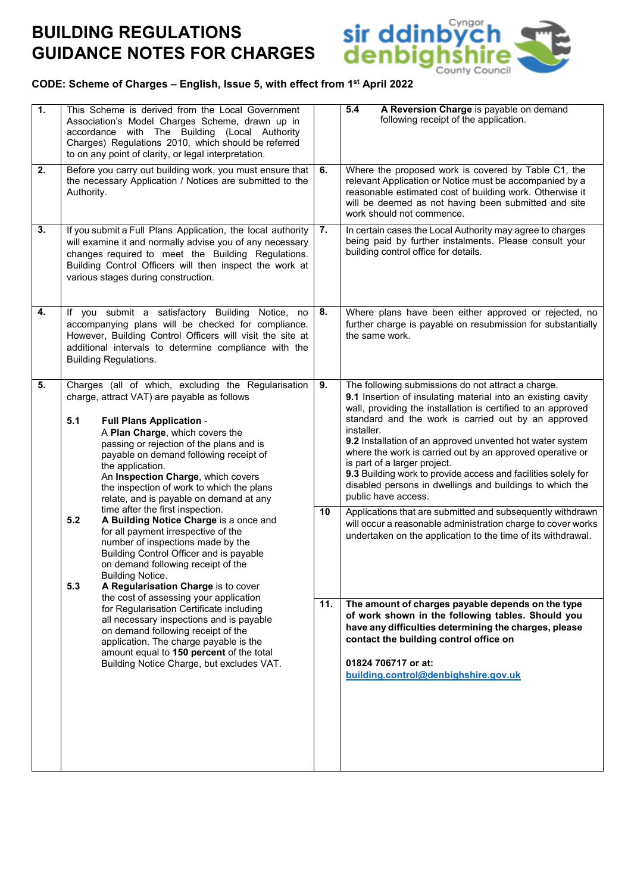# **BUILDING REGULATIONS GUIDANCE NOTES FOR CHARGES**



# **CODE: Scheme of Charges – English, Issue 5, with effect from 1st April 2022**

| $\overline{1}$ . | This Scheme is derived from the Local Government<br>Association's Model Charges Scheme, drawn up in<br>accordance with The Building (Local Authority<br>Charges) Regulations 2010, which should be referred<br>to on any point of clarity, or legal interpretation.                                                                                                                                                                                                                                                                                                                                                                                                                                                                                                                                                                                                                                                                                                                                                                                           |    | A Reversion Charge is payable on demand<br>5.4<br>following receipt of the application.                                                                                                                                                                                                                                                                                                                                                                                                                                                                               |  |
|------------------|---------------------------------------------------------------------------------------------------------------------------------------------------------------------------------------------------------------------------------------------------------------------------------------------------------------------------------------------------------------------------------------------------------------------------------------------------------------------------------------------------------------------------------------------------------------------------------------------------------------------------------------------------------------------------------------------------------------------------------------------------------------------------------------------------------------------------------------------------------------------------------------------------------------------------------------------------------------------------------------------------------------------------------------------------------------|----|-----------------------------------------------------------------------------------------------------------------------------------------------------------------------------------------------------------------------------------------------------------------------------------------------------------------------------------------------------------------------------------------------------------------------------------------------------------------------------------------------------------------------------------------------------------------------|--|
| 2.               | Before you carry out building work, you must ensure that<br>the necessary Application / Notices are submitted to the<br>Authority.                                                                                                                                                                                                                                                                                                                                                                                                                                                                                                                                                                                                                                                                                                                                                                                                                                                                                                                            |    | Where the proposed work is covered by Table C1, the<br>relevant Application or Notice must be accompanied by a<br>reasonable estimated cost of building work. Otherwise it<br>will be deemed as not having been submitted and site<br>work should not commence.                                                                                                                                                                                                                                                                                                       |  |
| 3.               | If you submit a Full Plans Application, the local authority<br>will examine it and normally advise you of any necessary<br>changes required to meet the Building Regulations.<br>Building Control Officers will then inspect the work at<br>various stages during construction.                                                                                                                                                                                                                                                                                                                                                                                                                                                                                                                                                                                                                                                                                                                                                                               |    | In certain cases the Local Authority may agree to charges<br>being paid by further instalments. Please consult your<br>building control office for details.                                                                                                                                                                                                                                                                                                                                                                                                           |  |
| 4.               | If you submit a satisfactory Building Notice,<br>no<br>accompanying plans will be checked for compliance.<br>However, Building Control Officers will visit the site at<br>additional intervals to determine compliance with the<br><b>Building Regulations.</b>                                                                                                                                                                                                                                                                                                                                                                                                                                                                                                                                                                                                                                                                                                                                                                                               | 8. | Where plans have been either approved or rejected, no<br>further charge is payable on resubmission for substantially<br>the same work.                                                                                                                                                                                                                                                                                                                                                                                                                                |  |
| 5.               | Charges (all of which, excluding the Regularisation<br>charge, attract VAT) are payable as follows<br>5.1<br><b>Full Plans Application -</b><br>A Plan Charge, which covers the<br>passing or rejection of the plans and is<br>payable on demand following receipt of<br>the application.<br>An Inspection Charge, which covers<br>the inspection of work to which the plans<br>relate, and is payable on demand at any<br>time after the first inspection.<br>A Building Notice Charge is a once and<br>5.2<br>for all payment irrespective of the<br>number of inspections made by the<br>Building Control Officer and is payable<br>on demand following receipt of the<br><b>Building Notice.</b><br>5.3<br>A Regularisation Charge is to cover<br>the cost of assessing your application<br>for Regularisation Certificate including<br>all necessary inspections and is payable<br>on demand following receipt of the<br>application. The charge payable is the<br>amount equal to 150 percent of the total<br>Building Notice Charge, but excludes VAT. |    | The following submissions do not attract a charge.<br>9.1 Insertion of insulating material into an existing cavity<br>wall, providing the installation is certified to an approved<br>standard and the work is carried out by an approved<br>installer.<br>9.2 Installation of an approved unvented hot water system<br>where the work is carried out by an approved operative or<br>is part of a larger project.<br>9.3 Building work to provide access and facilities solely for<br>disabled persons in dwellings and buildings to which the<br>public have access. |  |
|                  |                                                                                                                                                                                                                                                                                                                                                                                                                                                                                                                                                                                                                                                                                                                                                                                                                                                                                                                                                                                                                                                               |    | Applications that are submitted and subsequently withdrawn<br>will occur a reasonable administration charge to cover works<br>undertaken on the application to the time of its withdrawal.                                                                                                                                                                                                                                                                                                                                                                            |  |
|                  |                                                                                                                                                                                                                                                                                                                                                                                                                                                                                                                                                                                                                                                                                                                                                                                                                                                                                                                                                                                                                                                               |    | The amount of charges payable depends on the type<br>of work shown in the following tables. Should you<br>have any difficulties determining the charges, please<br>contact the building control office on<br>01824 706717 or at:<br>building.control@denbighshire.gov.uk                                                                                                                                                                                                                                                                                              |  |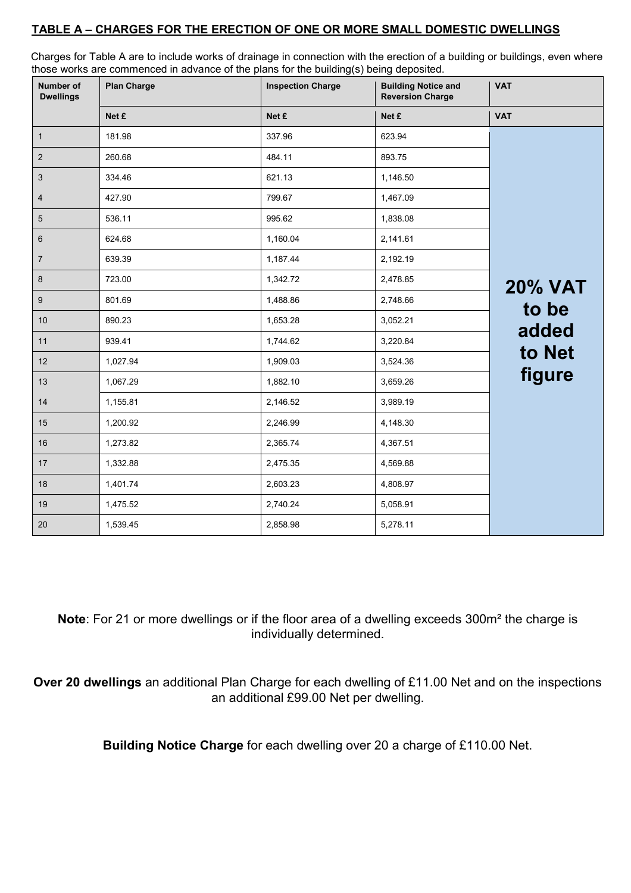### **TABLE A – CHARGES FOR THE ERECTION OF ONE OR MORE SMALL DOMESTIC DWELLINGS**

Charges for Table A are to include works of drainage in connection with the erection of a building or buildings, even where those works are commenced in advance of the plans for the building(s) being deposited.

| <b>Number of</b><br><b>Dwellings</b> | <b>Plan Charge</b> | <b>Inspection Charge</b> | <b>Building Notice and</b><br><b>Reversion Charge</b> | <b>VAT</b>     |
|--------------------------------------|--------------------|--------------------------|-------------------------------------------------------|----------------|
|                                      | Net £              | Net £                    | Net £                                                 | <b>VAT</b>     |
| $\mathbf{1}$                         | 181.98             | 337.96                   | 623.94                                                |                |
| $\sqrt{2}$                           | 260.68             | 484.11                   | 893.75                                                |                |
| $\sqrt{3}$                           | 334.46             | 621.13                   | 1,146.50                                              |                |
| $\overline{4}$                       | 427.90             | 799.67                   | 1,467.09                                              |                |
| $\sqrt{5}$                           | 536.11             | 995.62                   | 1,838.08                                              |                |
| 6                                    | 624.68             | 1,160.04                 | 2,141.61                                              |                |
| $\overline{7}$                       | 639.39             | 1,187.44                 | 2,192.19                                              |                |
| $\bf 8$                              | 723.00             | 1,342.72                 | 2,478.85                                              | <b>20% VAT</b> |
| 9                                    | 801.69             | 1,488.86                 | 2,748.66                                              | to be          |
| 10                                   | 890.23             | 1,653.28                 | 3,052.21                                              | added          |
| 11                                   | 939.41             | 1,744.62                 | 3,220.84                                              |                |
| 12                                   | 1,027.94           | 1,909.03                 | 3,524.36                                              | to Net         |
| 13                                   | 1,067.29           | 1,882.10                 | 3,659.26                                              | figure         |
| 14                                   | 1,155.81           | 2,146.52                 | 3,989.19                                              |                |
| 15                                   | 1,200.92           | 2,246.99                 | 4,148.30                                              |                |
| 16                                   | 1,273.82           | 2,365.74                 | 4,367.51                                              |                |
| 17                                   | 1,332.88           | 2,475.35                 | 4,569.88                                              |                |
| 18                                   | 1,401.74           | 2,603.23                 | 4,808.97                                              |                |
| 19                                   | 1,475.52           | 2,740.24                 | 5,058.91                                              |                |
| 20                                   | 1,539.45           | 2,858.98                 | 5,278.11                                              |                |

**Note**: For 21 or more dwellings or if the floor area of a dwelling exceeds 300m² the charge is individually determined.

**Over 20 dwellings** an additional Plan Charge for each dwelling of £11.00 Net and on the inspections an additional £99.00 Net per dwelling.

**Building Notice Charge** for each dwelling over 20 a charge of £110.00 Net.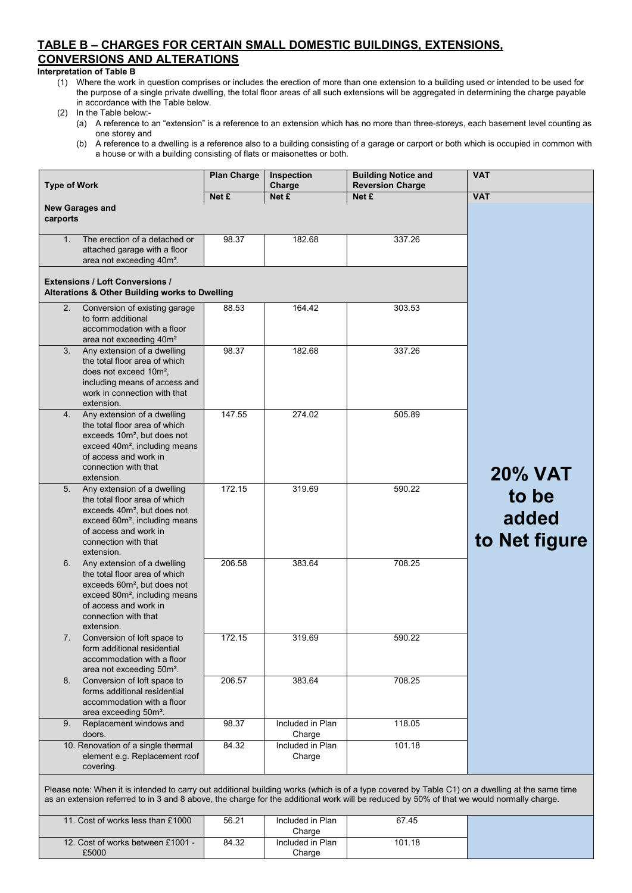### **TABLE B – CHARGES FOR CERTAIN SMALL DOMESTIC BUILDINGS, EXTENSIONS, CONVERSIONS AND ALTERATIONS**

#### **Interpretation of Table B**

(1) Where the work in question comprises or includes the erection of more than one extension to a building used or intended to be used for the purpose of a single private dwelling, the total floor areas of all such extensions will be aggregated in determining the charge payable in accordance with the Table below.

#### (2) In the Table below:-

- (a) A reference to an "extension" is a reference to an extension which has no more than three-storeys, each basement level counting as one storey and
- (b) A reference to a dwelling is a reference also to a building consisting of a garage or carport or both which is occupied in common with a house or with a building consisting of flats or maisonettes or both.

| <b>Type of Work</b> |                                                                                                                                                                                                                                                                                              | <b>Plan Charge</b> | Inspection<br>Charge       | <b>Building Notice and</b><br><b>Reversion Charge</b> | <b>VAT</b>                      |
|---------------------|----------------------------------------------------------------------------------------------------------------------------------------------------------------------------------------------------------------------------------------------------------------------------------------------|--------------------|----------------------------|-------------------------------------------------------|---------------------------------|
|                     |                                                                                                                                                                                                                                                                                              | Net £              | Net £                      | Net £                                                 | <b>VAT</b>                      |
| carports            | <b>New Garages and</b>                                                                                                                                                                                                                                                                       |                    |                            |                                                       |                                 |
| 1.                  | The erection of a detached or<br>attached garage with a floor<br>area not exceeding 40m <sup>2</sup> .                                                                                                                                                                                       | 98.37              | 182.68                     | 337.26                                                |                                 |
|                     | <b>Extensions / Loft Conversions /</b><br>Alterations & Other Building works to Dwelling                                                                                                                                                                                                     |                    |                            |                                                       |                                 |
| 2.                  | Conversion of existing garage<br>to form additional<br>accommodation with a floor<br>area not exceeding 40m <sup>2</sup>                                                                                                                                                                     | 88.53              | 164.42                     | 303.53                                                |                                 |
| 3.                  | Any extension of a dwelling<br>the total floor area of which<br>does not exceed 10m <sup>2</sup> .<br>including means of access and<br>work in connection with that<br>extension.                                                                                                            | 98.37              | 182.68                     | 337.26                                                |                                 |
| 4.                  | Any extension of a dwelling<br>the total floor area of which<br>exceeds 10m <sup>2</sup> , but does not<br>exceed 40m <sup>2</sup> , including means<br>of access and work in<br>connection with that<br>extension.                                                                          | 147.55             | 274.02                     | 505.89                                                | <b>20% VAT</b>                  |
| 5 <sub>1</sub>      | Any extension of a dwelling<br>the total floor area of which<br>exceeds 40m <sup>2</sup> , but does not<br>exceed 60m <sup>2</sup> , including means<br>of access and work in<br>connection with that<br>extension.                                                                          | 172.15             | 319.69                     | 590.22                                                | to be<br>added<br>to Net figure |
| 6.                  | Any extension of a dwelling<br>the total floor area of which<br>exceeds 60m <sup>2</sup> , but does not<br>exceed 80m <sup>2</sup> , including means<br>of access and work in<br>connection with that<br>extension.                                                                          | 206.58             | 383.64                     | 708.25                                                |                                 |
| 7.                  | Conversion of loft space to<br>form additional residential<br>accommodation with a floor<br>area not exceeding 50m <sup>2</sup> .                                                                                                                                                            | 172.15             | 319.69                     | 590.22                                                |                                 |
| 8.                  | Conversion of loft space to<br>forms additional residential<br>accommodation with a floor<br>area exceeding 50m <sup>2</sup> .                                                                                                                                                               | 206.57             | 383.64                     | 708.25                                                |                                 |
| 9.                  | Replacement windows and<br>doors.                                                                                                                                                                                                                                                            | 98.37              | Included in Plan<br>Charge | 118.05                                                |                                 |
|                     | 10. Renovation of a single thermal<br>element e.g. Replacement roof<br>covering.                                                                                                                                                                                                             | 84.32              | Included in Plan<br>Charge | 101.18                                                |                                 |
|                     | Please note: When it is intended to carry out additional building works (which is of a type covered by Table C1) on a dwelling at the same time<br>as an extension referred to in 3 and 8 above, the charge for the additional work will be reduced by 50% of that we would normally charge. |                    |                            |                                                       |                                 |

| 11. Cost of works less than £1000          | 56.21 | Included in Plan<br>Charge | 6745   |  |
|--------------------------------------------|-------|----------------------------|--------|--|
| 12. Cost of works between £1001 -<br>£5000 | 84.32 | Included in Plan<br>Charge | 101.18 |  |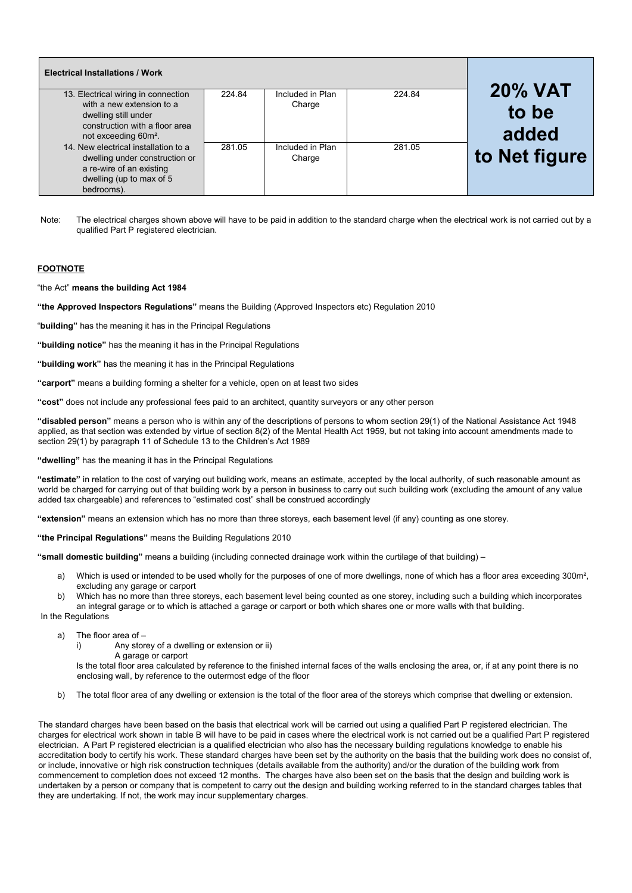| <b>Electrical Installations / Work</b>                                                                                                       |        |                            |        |                |
|----------------------------------------------------------------------------------------------------------------------------------------------|--------|----------------------------|--------|----------------|
| 13. Electrical wiring in connection                                                                                                          | 224.84 | Included in Plan           | 224.84 | <b>20% VAT</b> |
| with a new extension to a<br>dwelling still under<br>construction with a floor area<br>not exceeding 60m <sup>2</sup> .                      |        | Charge                     |        | to be<br>added |
| 14. New electrical installation to a<br>dwelling under construction or<br>a re-wire of an existing<br>dwelling (up to max of 5<br>bedrooms). | 281.05 | Included in Plan<br>Charge | 281.05 | to Net figure  |

Note: The electrical charges shown above will have to be paid in addition to the standard charge when the electrical work is not carried out by a qualified Part P registered electrician.

#### **FOOTNOTE**

"the Act" **means the building Act 1984** 

**"the Approved Inspectors Regulations"** means the Building (Approved Inspectors etc) Regulation 2010

"**building"** has the meaning it has in the Principal Regulations

**"building notice"** has the meaning it has in the Principal Regulations

**"building work"** has the meaning it has in the Principal Regulations

**"carport"** means a building forming a shelter for a vehicle, open on at least two sides

**"cost"** does not include any professional fees paid to an architect, quantity surveyors or any other person

**"disabled person"** means a person who is within any of the descriptions of persons to whom section 29(1) of the National Assistance Act 1948 applied, as that section was extended by virtue of section 8(2) of the Mental Health Act 1959, but not taking into account amendments made to section 29(1) by paragraph 11 of Schedule 13 to the Children's Act 1989

**"dwelling"** has the meaning it has in the Principal Regulations

**"estimate"** in relation to the cost of varying out building work, means an estimate, accepted by the local authority, of such reasonable amount as world be charged for carrying out of that building work by a person in business to carry out such building work (excluding the amount of any value added tax chargeable) and references to "estimated cost" shall be construed accordingly

**"extension"** means an extension which has no more than three storeys, each basement level (if any) counting as one storey.

**"the Principal Regulations"** means the Building Regulations 2010

**"small domestic building"** means a building (including connected drainage work within the curtilage of that building) –

- a) Which is used or intended to be used wholly for the purposes of one of more dwellings, none of which has a floor area exceeding 300m<sup>2</sup>, excluding any garage or carport
- b) Which has no more than three storeys, each basement level being counted as one storey, including such a building which incorporates an integral garage or to which is attached a garage or carport or both which shares one or more walls with that building.

In the Regulations

- a) The floor area of
	- i) Any storey of a dwelling or extension or ii)

A garage or carport

Is the total floor area calculated by reference to the finished internal faces of the walls enclosing the area, or, if at any point there is no enclosing wall, by reference to the outermost edge of the floor

b) The total floor area of any dwelling or extension is the total of the floor area of the storeys which comprise that dwelling or extension.

The standard charges have been based on the basis that electrical work will be carried out using a qualified Part P registered electrician. The charges for electrical work shown in table B will have to be paid in cases where the electrical work is not carried out be a qualified Part P registered electrician. A Part P registered electrician is a qualified electrician who also has the necessary building regulations knowledge to enable his accreditation body to certify his work. These standard charges have been set by the authority on the basis that the building work does no consist of, or include, innovative or high risk construction techniques (details available from the authority) and/or the duration of the building work from commencement to completion does not exceed 12 months. The charges have also been set on the basis that the design and building work is undertaken by a person or company that is competent to carry out the design and building working referred to in the standard charges tables that they are undertaking. If not, the work may incur supplementary charges.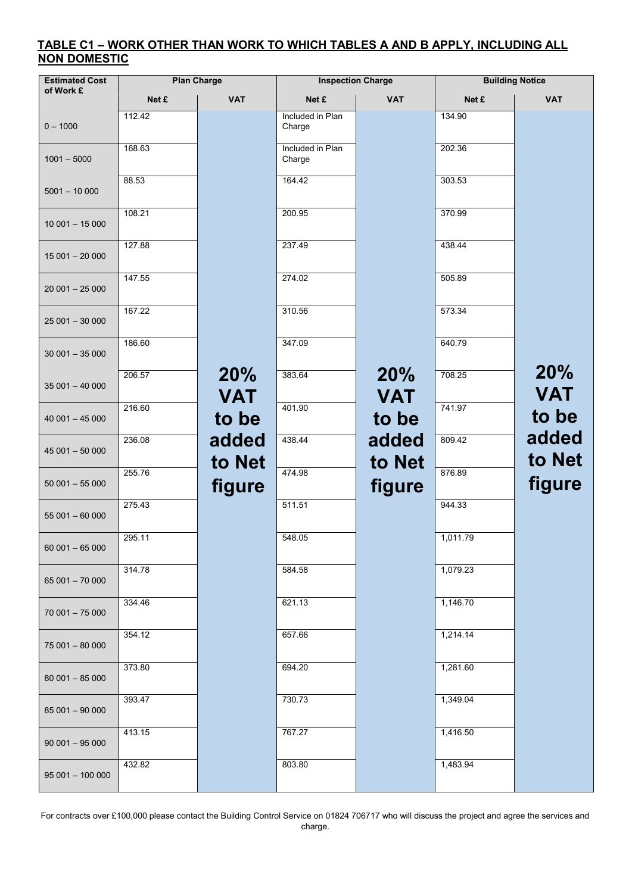### **TABLE C1 – WORK OTHER THAN WORK TO WHICH TABLES A AND B APPLY, INCLUDING ALL NON DOMESTIC**

| <b>Estimated Cost</b> | <b>Plan Charge</b> |                   | <b>Inspection Charge</b>   |                          | <b>Building Notice</b> |                   |
|-----------------------|--------------------|-------------------|----------------------------|--------------------------|------------------------|-------------------|
| of Work £             | Net £              | <b>VAT</b>        | Net £                      | <b>VAT</b>               | Net £                  | <b>VAT</b>        |
| $0 - 1000$            | 112.42             |                   | Included in Plan<br>Charge |                          | 134.90                 |                   |
| $1001 - 5000$         | 168.63             |                   | Included in Plan<br>Charge |                          | 202.36                 |                   |
| $5001 - 10000$        | 88.53              |                   | 164.42                     |                          | 303.53                 |                   |
| $10001 - 15000$       | 108.21             |                   | 200.95                     |                          | 370.99                 |                   |
| $15001 - 20000$       | 127.88             |                   | 237.49                     |                          | 438.44                 |                   |
| $20001 - 25000$       | 147.55             |                   | 274.02                     |                          | 505.89                 |                   |
| $25001 - 30000$       | 167.22             |                   | 310.56                     |                          | 573.34                 |                   |
| $30001 - 35000$       | 186.60             |                   | 347.09                     |                          | 640.79                 |                   |
| $35001 - 40000$       | 206.57             | 20%<br><b>VAT</b> | 383.64                     | <b>20%</b><br><b>VAT</b> | 708.25                 | 20%<br><b>VAT</b> |
| $40001 - 45000$       | 216.60             | to be             | 401.90                     | to be                    | 741.97                 | to be             |
| $45001 - 50000$       | 236.08             | added<br>to Net   | 438.44                     | added<br>to Net          | 809.42                 | added<br>to Net   |
| $50001 - 55000$       | 255.76             | figure            | 474.98                     | figure                   | 876.89                 | figure            |
| $55001 - 60000$       | 275.43             |                   | 511.51                     |                          | 944.33                 |                   |
| $60001 - 65000$       | 295.11             |                   | 548.05                     |                          | 1,011.79               |                   |
| 65 001 - 70 000       | 314.78             |                   | 584.58                     |                          | 1,079.23               |                   |
| $70001 - 75000$       | 334.46             |                   | 621.13                     |                          | 1,146.70               |                   |
| 75 001 - 80 000       | 354.12             |                   | 657.66                     |                          | 1,214.14               |                   |
| $80001 - 85000$       | 373.80             |                   | 694.20                     |                          | 1,281.60               |                   |
| 85 001 - 90 000       | 393.47             |                   | 730.73                     |                          | 1,349.04               |                   |
| $90001 - 95000$       | 413.15             |                   | 767.27                     |                          | 1,416.50               |                   |
| $95001 - 100000$      | 432.82             |                   | 803.80                     |                          | 1,483.94               |                   |

For contracts over £100,000 please contact the Building Control Service on 01824 706717 who will discuss the project and agree the services and charge.